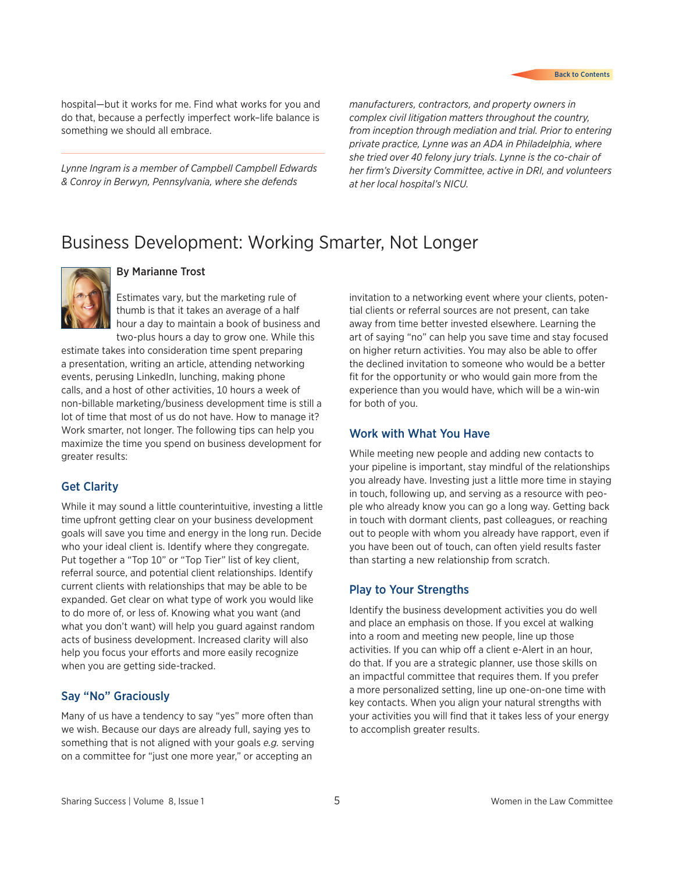hospital—but it works for me. Find what works for you and do that, because a perfectly imperfect work–life balance is something we should all embrace.

*Lynne Ingram is a member of Campbell Campbell Edwards & Conroy in Berwyn, Pennsylvania, where she defends* 

*manufacturers, contractors, and property owners in complex civil litigation matters throughout the country, from inception through mediation and trial. Prior to entering private practice, Lynne was an ADA in Philadelphia, where she tried over 40 felony jury trials. Lynne is the co-chair of her firm's Diversity Committee, active in DRI, and volunteers at her local hospital's NICU.*

# Business Development: Working Smarter, Not Longer



#### By Marianne Trost

Estimates vary, but the marketing rule of thumb is that it takes an average of a half hour a day to maintain a book of business and two-plus hours a day to grow one. While this

estimate takes into consideration time spent preparing a presentation, writing an article, attending networking events, perusing LinkedIn, lunching, making phone calls, and a host of other activities, 10 hours a week of non-billable marketing/business development time is still a lot of time that most of us do not have. How to manage it? Work smarter, not longer. The following tips can help you maximize the time you spend on business development for greater results:

#### Get Clarity

While it may sound a little counterintuitive, investing a little time upfront getting clear on your business development goals will save you time and energy in the long run. Decide who your ideal client is. Identify where they congregate. Put together a "Top 10" or "Top Tier" list of key client, referral source, and potential client relationships. Identify current clients with relationships that may be able to be expanded. Get clear on what type of work you would like to do more of, or less of. Knowing what you want (and what you don't want) will help you guard against random acts of business development. Increased clarity will also help you focus your efforts and more easily recognize when you are getting side-tracked.

### Say "No" Graciously

Many of us have a tendency to say "yes" more often than we wish. Because our days are already full, saying yes to something that is not aligned with your goals *e.g.* serving on a committee for "just one more year," or accepting an

invitation to a networking event where your clients, potential clients or referral sources are not present, can take away from time better invested elsewhere. Learning the art of saying "no" can help you save time and stay focused on higher return activities. You may also be able to offer the declined invitation to someone who would be a better fit for the opportunity or who would gain more from the experience than you would have, which will be a win-win for both of you.

#### Work with What You Have

While meeting new people and adding new contacts to your pipeline is important, stay mindful of the relationships you already have. Investing just a little more time in staying in touch, following up, and serving as a resource with people who already know you can go a long way. Getting back in touch with dormant clients, past colleagues, or reaching out to people with whom you already have rapport, even if you have been out of touch, can often yield results faster than starting a new relationship from scratch.

#### Play to Your Strengths

Identify the business development activities you do well and place an emphasis on those. If you excel at walking into a room and meeting new people, line up those activities. If you can whip off a client e-Alert in an hour, do that. If you are a strategic planner, use those skills on an impactful committee that requires them. If you prefer a more personalized setting, line up one-on-one time with key contacts. When you align your natural strengths with your activities you will find that it takes less of your energy to accomplish greater results.